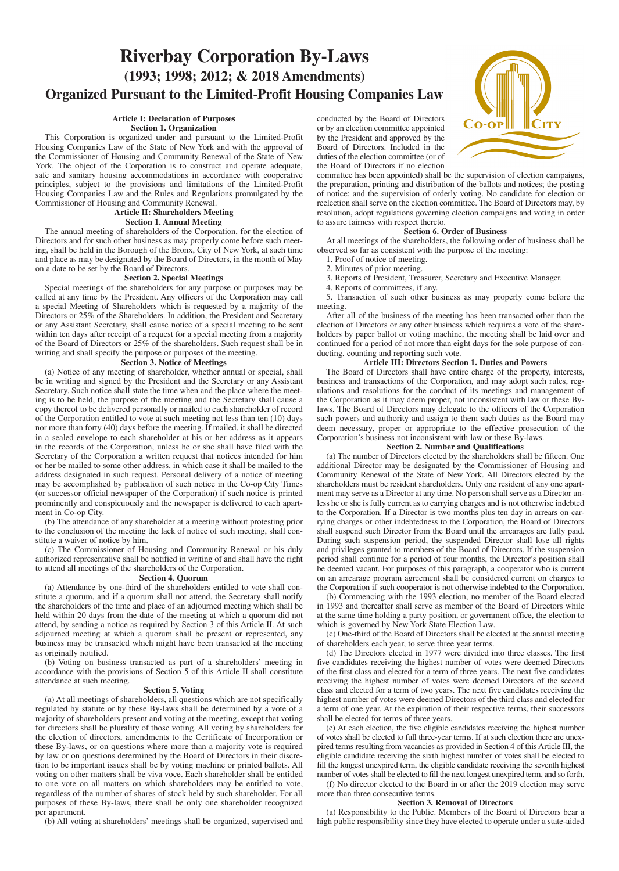# **Riverbay Corporation By-Laws (1993; 1998; 2012; & 2018 Amendments) Organized Pursuant to the Limited-Profit Housing Companies Law**

### **Article I: Declaration of Purposes Section 1. Organization**

This Corporation is organized under and pursuant to the Limited-Profit Housing Companies Law of the State of New York and with the approval of the Commissioner of Housing and Community Renewal of the State of New York. The object of the Corporation is to construct and operate adequate, safe and sanitary housing accommodations in accordance with cooperative principles, subject to the provisions and limitations of the Limited-Profit Housing Companies Law and the Rules and Regulations promulgated by the Commissioner of Housing and Community Renewal.

### **Article II: Shareholders Meeting Section 1. Annual Meeting**

The annual meeting of shareholders of the Corporation, for the election of Directors and for such other business as may properly come before such meeting, shall be held in the Borough of the Bronx, City of New York, at such time and place as may be designated by the Board of Directors, in the month of May on a date to be set by the Board of Directors.

#### **Section 2. Special Meetings**

Special meetings of the shareholders for any purpose or purposes may be called at any time by the President. Any officers of the Corporation may call a special Meeting of Shareholders which is requested by a majority of the Directors or 25% of the Shareholders. In addition, the President and Secretary or any Assistant Secretary, shall cause notice of a special meeting to be sent within ten days after receipt of a request for a special meeting from a majority of the Board of Directors or 25% of the shareholders. Such request shall be in writing and shall specify the purpose or purposes of the meeting.

#### **Section 3. Notice of Meetings**

(a) Notice of any meeting of shareholder, whether annual or special, shall be in writing and signed by the President and the Secretary or any Assistant Secretary. Such notice shall state the time when and the place where the meeting is to be held, the purpose of the meeting and the Secretary shall cause a copy thereof to be delivered personally or mailed to each shareholder of record of the Corporation entitled to vote at such meeting not less than ten (10) days nor more than forty (40) days before the meeting. If mailed, it shall be directed in a sealed envelope to each shareholder at his or her address as it appears in the records of the Corporation, unless he or she shall have filed with the Secretary of the Corporation a written request that notices intended for him or her be mailed to some other address, in which case it shall be mailed to the address designated in such request. Personal delivery of a notice of meeting may be accomplished by publication of such notice in the Co-op City Times (or successor official newspaper of the Corporation) if such notice is printed prominently and conspicuously and the newspaper is delivered to each apartment in Co-op City.

(b) The attendance of any shareholder at a meeting without protesting prior to the conclusion of the meeting the lack of notice of such meeting, shall constitute a waiver of notice by him.

(c) The Commissioner of Housing and Community Renewal or his duly authorized representative shall be notified in writing of and shall have the right to attend all meetings of the shareholders of the Corporation.

#### **Section 4. Quorum**

(a) Attendance by one-third of the shareholders entitled to vote shall constitute a quorum, and if a quorum shall not attend, the Secretary shall notify the shareholders of the time and place of an adjourned meeting which shall be held within 20 days from the date of the meeting at which a quorum did not attend, by sending a notice as required by Section 3 of this Article II. At such adjourned meeting at which a quorum shall be present or represented, any business may be transacted which might have been transacted at the meeting as originally notified.

(b) Voting on business transacted as part of a shareholders' meeting in accordance with the provisions of Section 5 of this Article II shall constitute attendance at such meeting.

#### **Section 5. Voting**

(a) At all meetings of shareholders, all questions which are not specifically regulated by statute or by these By-laws shall be determined by a vote of a majority of shareholders present and voting at the meeting, except that voting for directors shall be plurality of those voting. All voting by shareholders for the election of directors, amendments to the Certificate of Incorporation or these By-laws, or on questions where more than a majority vote is required by law or on questions determined by the Board of Directors in their discretion to be important issues shall be by voting machine or printed ballots. All voting on other matters shall be viva voce. Each shareholder shall be entitled to one vote on all matters on which shareholders may be entitled to vote, regardless of the number of shares of stock held by such shareholder. For all purposes of these By-laws, there shall be only one shareholder recognized per apartment.

(b) All voting at shareholders' meetings shall be organized, supervised and

conducted by the Board of Directors or by an election committee appointed by the President and approved by the Board of Directors. Included in the duties of the election committee (or of the Board of Directors if no election

committee has been appointed) shall be the supervision of election campaigns, the preparation, printing and distribution of the ballots and notices; the posting of notice; and the supervision of orderly voting. No candidate for election or reelection shall serve on the election committee. The Board of Directors may, by resolution, adopt regulations governing election campaigns and voting in order to assure fairness with respect thereto.

#### **Section 6. Order of Business**

At all meetings of the shareholders, the following order of business shall be observed so far as consistent with the purpose of the meeting:

- 1. Proof of notice of meeting.
- 2. Minutes of prior meeting.
- 3. Reports of President, Treasurer, Secretary and Executive Manager.
- 4. Reports of committees, if any.

5. Transaction of such other business as may properly come before the meeting.

After all of the business of the meeting has been transacted other than the election of Directors or any other business which requires a vote of the shareholders by paper ballot or voting machine, the meeting shall be laid over and continued for a period of not more than eight days for the sole purpose of conducting, counting and reporting such vote.

#### **Article III: Directors Section 1. Duties and Powers**

The Board of Directors shall have entire charge of the property, interests, business and transactions of the Corporation, and may adopt such rules, regulations and resolutions for the conduct of its meetings and management of the Corporation as it may deem proper, not inconsistent with law or these Bylaws. The Board of Directors may delegate to the officers of the Corporation such powers and authority and assign to them such duties as the Board may deem necessary, proper or appropriate to the effective prosecution of the Corporation's business not inconsistent with law or these By-laws.

#### **Section 2. Number and Qualifications**

(a) The number of Directors elected by the shareholders shall be fifteen. One additional Director may be designated by the Commissioner of Housing and Community Renewal of the State of New York. All Directors elected by the shareholders must be resident shareholders. Only one resident of any one apartment may serve as a Director at any time. No person shall serve as a Director unless he or she is fully current as to carrying charges and is not otherwise indebted to the Corporation. If a Director is two months plus ten day in arrears on carrying charges or other indebtedness to the Corporation, the Board of Directors shall suspend such Director from the Board until the arrearages are fully paid. During such suspension period, the suspended Director shall lose all rights and privileges granted to members of the Board of Directors. If the suspension period shall continue for a period of four months, the Director's position shall be deemed vacant. For purposes of this paragraph, a cooperator who is current on an arrearage program agreement shall be considered current on charges to the Corporation if such cooperator is not otherwise indebted to the Corporation.

(b) Commencing with the 1993 election, no member of the Board elected in 1993 and thereafter shall serve as member of the Board of Directors while at the same time holding a party position, or government office, the election to which is governed by New York State Election Law.

(c) One-third of the Board of Directors shall be elected at the annual meeting of shareholders each year, to serve three year terms.

(d) The Directors elected in 1977 were divided into three classes. The first five candidates receiving the highest number of votes were deemed Directors of the first class and elected for a term of three years. The next five candidates receiving the highest number of votes were deemed Directors of the second class and elected for a term of two years. The next five candidates receiving the highest number of votes were deemed Directors of the third class and elected for a term of one year. At the expiration of their respective terms, their successors shall be elected for terms of three years.

(e) At each election, the five eligible candidates receiving the highest number of votes shall be elected to full three-year terms. If at such election there are unexpired terms resulting from vacancies as provided in Section 4 of this Article III, the eligible candidate receiving the sixth highest number of votes shall be elected to fill the longest unexpired term, the eligible candidate receiving the seventh highest number of votes shall be elected to fill the next longest unexpired term, and so forth.

(f) No director elected to the Board in or after the 2019 election may serve more than three consecutive terms.

#### **Section 3. Removal of Directors**

(a) Responsibility to the Public. Members of the Board of Directors bear a high public responsibility since they have elected to operate under a state-aided

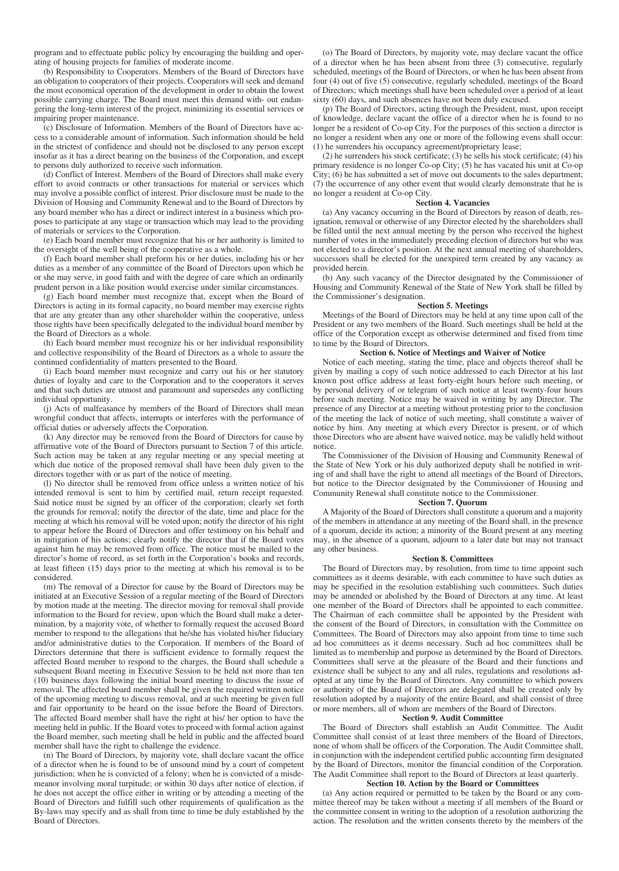program and to effectuate public policy by encouraging the building and operating of housing projects for families of moderate income.

(b) Responsibility to Cooperators. Members of the Board of Directors have an obligation to cooperators of their projects. Cooperators will seek and demand the most economical operation of the development in order to obtain the lowest possible carrying charge. The Board must meet this demand with- out endangering the long-term interest of the project, minimizing its essential services or impairing proper maintenance.

(c) Disclosure of Information. Members of the Board of Directors have access to a considerable amount of information. Such information should be held in the strictest of confidence and should not be disclosed to any person except insofar as it has a direct bearing on the business of the Corporation, and except to persons duly authorized to receive such information.

(d) Conflict of Interest. Members of the Board of Directors shall make every effort to avoid contracts or other transactions for material or services which may involve a possible conflict of interest. Prior disclosure must be made to the Division of Housing and Community Renewal and to the Board of Directors by any board member who has a direct or indirect interest in a business which proposes to participate at any stage or transaction which may lead to the providing of materials or services to the Corporation.

(e) Each board member must recognize that his or her authority is limited to the oversight of the well being of the cooperative as a whole.

(f) Each board member shall preform his or her duties, including his or her duties as a member of any committee of the Board of Directors upon which he or she may serve, in good faith and with the degree of care which an ordinarily prudent person in a like position would exercise under similar circumstances.

(g) Each board member must recognize that, except when the Board of Directors is acting in its formal capacity, no board member may exercise rights that are any greater than any other shareholder within the cooperative, unless those rights have been specifically delegated to the individual board member by the Board of Directors as a whole.

(h) Each board member must recognize his or her individual responsibility and collective responsibility of the Board of Directors as a whole to assure the continued confidentiality of matters presented to the Board.

(i) Each board member must recognize and carry out his or her statutory duties of loyalty and care to the Corporation and to the cooperators it serves and that such duties are utmost and paramount and supersedes any conflicting individual opportunity.

(j) Acts of malfeasance by members of the Board of Directors shall mean wrongful conduct that affects, interrupts or interferes with the performance of official duties or adversely affects the Corporation.

(k) Any director may be removed from the Board of Directors for cause by affirmative vote of the Board of Directors pursuant to Section 7 of this article. Such action may be taken at any regular meeting or any special meeting at which due notice of the proposed removal shall have been duly given to the directors together with or as part of the notice of meeting.

(l) No director shall be removed from office unless a written notice of his intended removal is sent to him by certified mail, return receipt requested. Said notice must be signed by an officer of the corporation; clearly set forth the grounds for removal; notify the director of the date, time and place for the meeting at which his removal will be voted upon; notify the director of his right to appear before the Board of Directors and offer testimony on his behalf and in mitigation of his actions; clearly notify the director that if the Board votes against him he may be removed from office. The notice must be mailed to the director's home of record, as set forth in the Corporation's books and records, at least fifteen (15) days prior to the meeting at which his removal is to be considered.

(m) The removal of a Director for cause by the Board of Directors may be initiated at an Executive Session of a regular meeting of the Board of Directors by motion made at the meeting. The director moving for removal shall provide information to the Board for review, upon which the Board shall make a determination, by a majority vote, of whether to formally request the accused Board member to respond to the allegations that he/she has violated his/her fiduciary and/or administrative duties to the Corporation. If members of the Board of Directors determine that there is sufficient evidence to formally request the affected Board member to respond to the charges, the Board shall schedule a subsequent Board meeting in Executive Session to be held not more than ten (10) business days following the initial board meeting to discuss the issue of removal. The affected board member shall be given the required written notice of the upcoming meeting to discuss removal, and at such meeting be given full and fair opportunity to be heard on the issue before the Board of Directors. The affected Board member shall have the right at his/ her option to have the meeting held in public. If the Board votes to proceed with formal action against the Board member, such meeting shall be held in public and the affected board member shall have the right to challenge the evidence.

(n) The Board of Directors, by majority vote, shall declare vacant the office of a director when he is found to be of unsound mind by a court of competent jurisdiction; when he is convicted of a felony; when he is convicted of a misdemeanor involving moral turpitude; or within 30 days after notice of election, if he does not accept the office either in writing or by attending a meeting of the Board of Directors and fulfill such other requirements of qualification as the By-laws may specify and as shall from time to time be duly established by the Board of Directors.

(o) The Board of Directors, by majority vote, may declare vacant the office of a director when he has been absent from three (3) consecutive, regularly scheduled, meetings of the Board of Directors, or when he has been absent from four (4) out of five (5) consecutive, regularly scheduled, meetings of the Board of Directors; which meetings shall have been scheduled over a period of at least sixty (60) days, and such absences have not been duly excused.

(p) The Board of Directors, acting through the President, must, upon receipt of knowledge, declare vacant the office of a director when he is found to no longer be a resident of Co-op City. For the purposes of this section a director is no longer a resident when any one or more of the following evens shall occur: (1) he surrenders his occupancy agreement/proprietary lease;

(2) he surrenders his stock certificate; (3) he sells his stock certificate; (4) his primary residence is no longer Co-op City; (5) he has vacated his unit at Co-op City; (6) he has submitted a set of move out documents to the sales department; (7) the occurrence of any other event that would clearly demonstrate that he is no longer a resident at Co-op City.

#### **Section 4. Vacancies**

(a) Any vacancy occurring in the Board of Directors by reason of death, resignation, removal or otherwise of any Director elected by the shareholders shall be filled until the next annual meeting by the person who received the highest number of votes in the immediately preceding election of directors but who was not elected to a director's position. At the next annual meeting of shareholders, successors shall be elected for the unexpired term created by any vacancy as provided herein.

(b) Any such vacancy of the Director designated by the Commissioner of Housing and Community Renewal of the State of New York shall be filled by the Commissioner's designation.

#### **Section 5. Meetings**

Meetings of the Board of Directors may be held at any time upon call of the President or any two members of the Board. Such meetings shall be held at the office of the Corporation except as otherwise determined and fixed from time to time by the Board of Directors.

#### **Section 6. Notice of Meetings and Waiver of Notice**

Notice of each meeting, stating the time, place and objects thereof shall be given by mailing a copy of such notice addressed to each Director at his last known post office address at least forty-eight hours before such meeting, or by personal delivery of or telegram of such notice at least twenty-four hours before such meeting. Notice may be waived in writing by any Director. The presence of any Director at a meeting without protesting prior to the conclusion of the meeting the lack of notice of such meeting, shall constitute a waiver of notice by him. Any meeting at which every Director is present, or of which those Directors who are absent have waived notice, may be validly held without notice.

The Commissioner of the Division of Housing and Community Renewal of the State of New York or his duly authorized deputy shall be notified in writing of and shall have the right to attend all meetings of the Board of Directors, but notice to the Director designated by the Commissioner of Housing and Community Renewal shall constitute notice to the Commissioner.

#### **Section 7. Quorum**

A Majority of the Board of Directors shall constitute a quorum and a majority of the members in attendance at any meeting of the Board shall, in the presence of a quorum, decide its action; a minority of the Board present at any meeting may, in the absence of a quorum, adjourn to a later date but may not transact any other business.

#### **Section 8. Committees**

The Board of Directors may, by resolution, from time to time appoint such committees as it deems desirable, with each committee to have such duties as may be specified in the resolution establishing such committees. Such duties may be amended or abolished by the Board of Directors at any time. At least one member of the Board of Directors shall be appointed to each committee. The Chairman of each committee shall be appointed by the President with the consent of the Board of Directors, in consultation with the Committee on Committees. The Board of Directors may also appoint from time to time such ad hoc committees as it deems necessary. Such ad hoc committees shall be limited as to membership and purpose as determined by the Board of Directors. Committees shall serve at the pleasure of the Board and their functions and existence shall be subject to any and all rules, regulations and resolutions adopted at any time by the Board of Directors. Any committee to which powers or authority of the Board of Directors are delegated shall be created only by resolution adopted by a majority of the entire Board, and shall consist of three or more members, all of whom are members of the Board of Directors.

#### **Section 9. Audit Committee**

The Board of Directors shall establish an Audit Committee. The Audit Committee shall consist of at least three members of the Board of Directors, none of whom shall be officers of the Corporation. The Audit Committee shall, in conjunction with the independent certified public accounting firm designated by the Board of Directors, monitor the financial condition of the Corporation. The Audit Committee shall report to the Board of Directors at least quarterly.

#### **Section 10. Action by the Board or Committees**

(a) Any action required or permitted to be taken by the Board or any committee thereof may be taken without a meeting if all members of the Board or the committee consent in writing to the adoption of a resolution authorizing the action. The resolution and the written consents thereto by the members of the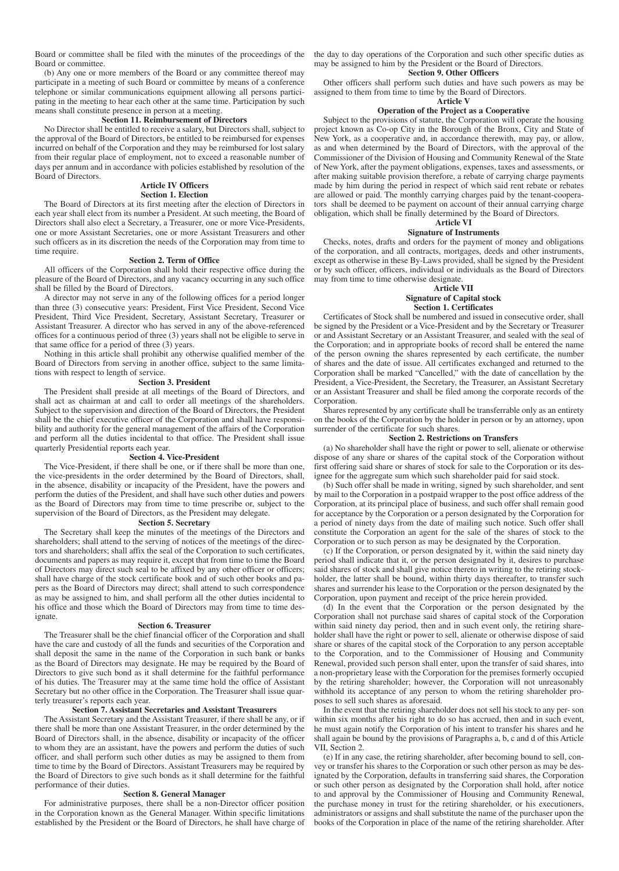Board or committee shall be filed with the minutes of the proceedings of the Board or committee.

(b) Any one or more members of the Board or any committee thereof may participate in a meeting of such Board or committee by means of a conference telephone or similar communications equipment allowing all persons participating in the meeting to hear each other at the same time. Participation by such means shall constitute presence in person at a meeting.

#### **Section 11. Reimbursement of Directors**

No Director shall be entitled to receive a salary, but Directors shall, subject to the approval of the Board of Directors, be entitled to be reimbursed for expenses incurred on behalf of the Corporation and they may be reimbursed for lost salary from their regular place of employment, not to exceed a reasonable number of days per annum and in accordance with policies established by resolution of the Board of Directors.

## **Article IV Officers**

### **Section 1. Election**

The Board of Directors at its first meeting after the election of Directors in each year shall elect from its number a President. At such meeting, the Board of Directors shall also elect a Secretary, a Treasurer, one or more Vice-Presidents, one or more Assistant Secretaries, one or more Assistant Treasurers and other such officers as in its discretion the needs of the Corporation may from time to time require.

#### **Section 2. Term of Office**

All officers of the Corporation shall hold their respective office during the pleasure of the Board of Directors, and any vacancy occurring in any such office shall be filled by the Board of Directors.

A director may not serve in any of the following offices for a period longer than three (3) consecutive years: President, First Vice President, Second Vice President, Third Vice President, Secretary, Assistant Secretary, Treasurer or Assistant Treasurer. A director who has served in any of the above-referenced offices for a continuous period of three (3) years shall not be eligible to serve in that same office for a period of three (3) years.

Nothing in this article shall prohibit any otherwise qualified member of the Board of Directors from serving in another office, subject to the same limitations with respect to length of service.

#### **Section 3. President**

The President shall preside at all meetings of the Board of Directors, and shall act as chairman at and call to order all meetings of the shareholders. Subject to the supervision and direction of the Board of Directors, the President shall be the chief executive officer of the Corporation and shall have responsibility and authority for the general management of the affairs of the Corporation and perform all the duties incidental to that office. The President shall issue quarterly Presidential reports each year.

#### **Section 4. Vice-President**

The Vice-President, if there shall be one, or if there shall be more than one, the vice-presidents in the order determined by the Board of Directors, shall, in the absence, disability or incapacity of the President, have the powers and perform the duties of the President, and shall have such other duties and powers as the Board of Directors may from time to time prescribe or, subject to the supervision of the Board of Directors, as the President may delegate.

#### **Section 5. Secretary**

The Secretary shall keep the minutes of the meetings of the Directors and shareholders; shall attend to the serving of notices of the meetings of the directors and shareholders; shall affix the seal of the Corporation to such certificates, documents and papers as may require it, except that from time to time the Board of Directors may direct such seal to be affixed by any other officer or officers; shall have charge of the stock certificate book and of such other books and papers as the Board of Directors may direct; shall attend to such correspondence as may be assigned to him, and shall perform all the other duties incidental to his office and those which the Board of Directors may from time to time designate.

#### **Section 6. Treasurer**

The Treasurer shall be the chief financial officer of the Corporation and shall have the care and custody of all the funds and securities of the Corporation and shall deposit the same in the name of the Corporation in such bank or banks as the Board of Directors may designate. He may be required by the Board of Directors to give such bond as it shall determine for the faithful performance of his duties. The Treasurer may at the same time hold the office of Assistant Secretary but no other office in the Corporation. The Treasurer shall issue quarterly treasurer's reports each year.

#### **Section 7. Assistant Secretaries and Assistant Treasurers**

The Assistant Secretary and the Assistant Treasurer, if there shall be any, or if there shall be more than one Assistant Treasurer, in the order determined by the Board of Directors shall, in the absence, disability or incapacity of the officer to whom they are an assistant, have the powers and perform the duties of such officer, and shall perform such other duties as may be assigned to them from time to time by the Board of Directors. Assistant Treasurers may be required by the Board of Directors to give such bonds as it shall determine for the faithful performance of their duties.

#### **Section 8. General Manager**

For administrative purposes, there shall be a non-Director officer position in the Corporation known as the General Manager. Within specific limitations established by the President or the Board of Directors, he shall have charge of the day to day operations of the Corporation and such other specific duties as may be assigned to him by the President or the Board of Directors.

### **Section 9. Other Officers**

Other officers shall perform such duties and have such powers as may be assigned to them from time to time by the Board of Directors.

#### **Article V**

#### **Operation of the Project as a Cooperative**

Subject to the provisions of statute, the Corporation will operate the housing project known as Co-op City in the Borough of the Bronx, City and State of New York, as a cooperative and, in accordance therewith, may pay, or allow, as and when determined by the Board of Directors, with the approval of the Commissioner of the Division of Housing and Community Renewal of the State of New York, after the payment obligations, expenses, taxes and assessments, or after making suitable provision therefore, a rebate of carrying charge payments made by him during the period in respect of which said rent rebate or rebates are allowed or paid. The monthly carrying charges paid by the tenant-cooperators shall be deemed to be payment on account of their annual carrying charge obligation, which shall be finally determined by the Board of Directors.

#### **Article VI Signature of Instruments**

Checks, notes, drafts and orders for the payment of money and obligations of the corporation, and all contracts, mortgages, deeds and other instruments, except as otherwise in these By-Laws provided, shall be signed by the President or by such officer, officers, individual or individuals as the Board of Directors may from time to time otherwise designate.

### **Article VII**

**Signature of Capital stock Section 1. Certificates**

Certificates of Stock shall be numbered and issued in consecutive order, shall be signed by the President or a Vice-President and by the Secretary or Treasurer or and Assistant Secretary or an Assistant Treasurer, and sealed with the seal of the Corporation; and in appropriate books of record shall be entered the name of the person owning the shares represented by each certificate, the number of shares and the date of issue. All certificates exchanged and returned to the Corporation shall be marked "Cancelled," with the date of cancellation by the President, a Vice-President, the Secretary, the Treasurer, an Assistant Secretary or an Assistant Treasurer and shall be filed among the corporate records of the Corporation.

Shares represented by any certificate shall be transferrable only as an entirety on the books of the Corporation by the holder in person or by an attorney, upon surrender of the certificate for such shares.

#### **Section 2. Restrictions on Transfers**

(a) No shareholder shall have the right or power to sell, alienate or otherwise dispose of any share or shares of the capital stock of the Corporation without first offering said share or shares of stock for sale to the Corporation or its designee for the aggregate sum which such shareholder paid for said stock.

(b) Such offer shall be made in writing, signed by such shareholder, and sent by mail to the Corporation in a postpaid wrapper to the post office address of the Corporation, at its principal place of business, and such offer shall remain good for acceptance by the Corporation or a person designated by the Corporation for a period of ninety days from the date of mailing such notice. Such offer shall constitute the Corporation an agent for the sale of the shares of stock to the Corporation or to such person as may be designated by the Corporation.

(c) If the Corporation, or person designated by it, within the said ninety day period shall indicate that it, or the person designated by it, desires to purchase said shares of stock and shall give notice thereto in writing to the retiring stockholder, the latter shall be bound, within thirty days thereafter, to transfer such shares and surrender his lease to the Corporation or the person designated by the Corporation, upon payment and receipt of the price herein provided.

(d) In the event that the Corporation or the person designated by the Corporation shall not purchase said shares of capital stock of the Corporation within said ninety day period, then and in such event only, the retiring shareholder shall have the right or power to sell, alienate or otherwise dispose of said share or shares of the capital stock of the Corporation to any person acceptable to the Corporation, and to the Commissioner of Housing and Community Renewal, provided such person shall enter, upon the transfer of said shares, into a non-proprietary lease with the Corporation for the premises formerly occupied by the retiring shareholder; however, the Corporation will not unreasonably withhold its acceptance of any person to whom the retiring shareholder proposes to sell such shares as aforesaid.

In the event that the retiring shareholder does not sell his stock to any per- son within six months after his right to do so has accrued, then and in such event, he must again notify the Corporation of his intent to transfer his shares and he shall again be bound by the provisions of Paragraphs a, b, c and d of this Article VII, Section 2.

(e) If in any case, the retiring shareholder, after becoming bound to sell, convey or transfer his shares to the Corporation or such other person as may be designated by the Corporation, defaults in transferring said shares, the Corporation or such other person as designated by the Corporation shall hold, after notice to and approval by the Commissioner of Housing and Community Renewal, the purchase money in trust for the retiring shareholder, or his executioners, administrators or assigns and shall substitute the name of the purchaser upon the books of the Corporation in place of the name of the retiring shareholder. After